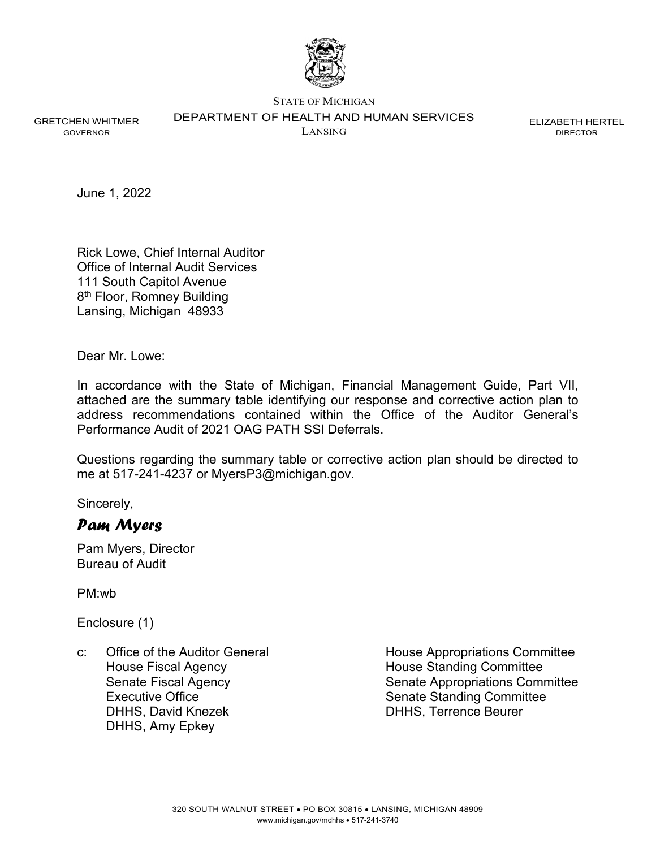

STATE OF MICHIGAN

DEPARTMENT OF HEALTH AND HUMAN SERVICES

GRETCHEN WHITMER GOVERNOR

LANSING

ELIZABETH HERTEL DIRECTOR

June 1, 2022

Rick Lowe, Chief Internal Auditor Office of Internal Audit Services 111 South Capitol Avenue 8<sup>th</sup> Floor, Romney Building Lansing, Michigan 48933

Dear Mr. Lowe:

In accordance with the State of Michigan, Financial Management Guide, Part VII, attached are the summary table identifying our response and corrective action plan to address recommendations contained within the Office of the Auditor General's Performance Audit of 2021 OAG PATH SSI Deferrals.

Questions regarding the summary table or corrective action plan should be directed to me at 517-241-4237 or MyersP3@michigan.gov.

Sincerely,

## *Pam Myers*

Pam Myers, Director Bureau of Audit

PM:wb

Enclosure (1)

c: Office of the Auditor General **House Appropriations Committee** House Fiscal Agency **House Standing Committee** Executive Office **Senate Standing Committee** Senate Standing Committee DHHS, David Knezek DHHS, Terrence Beurer DHHS, Amy Epkey

Senate Fiscal Agency Manuel Agency Senate Appropriations Committee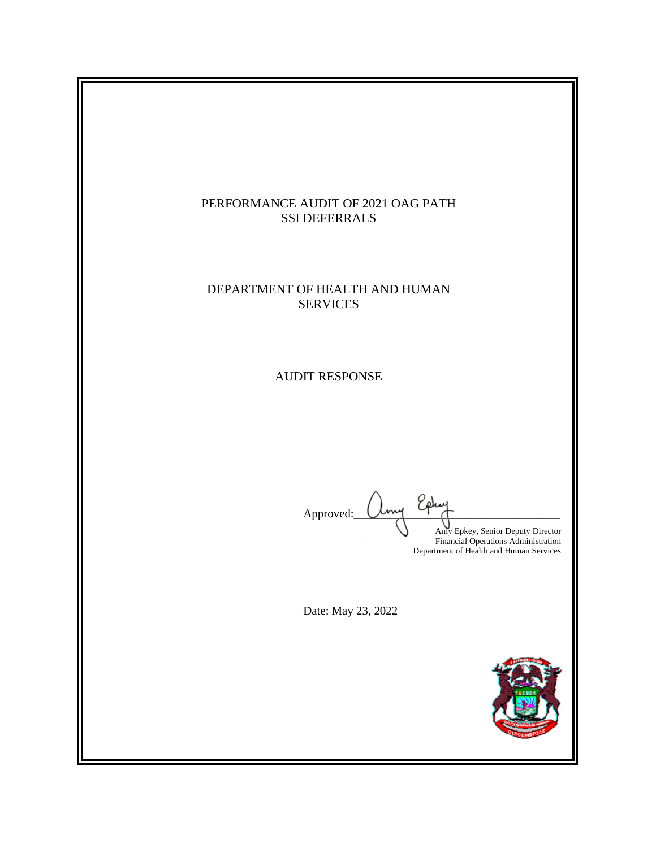

### DEPARTMENT OF HEALTH AND HUMAN SERVICES

AUDIT RESPONSE

Approved: Amy Epkey, Senior Deputy Director Financial Operations Administration Department of Health and Human Services

Date: May 23, 2022

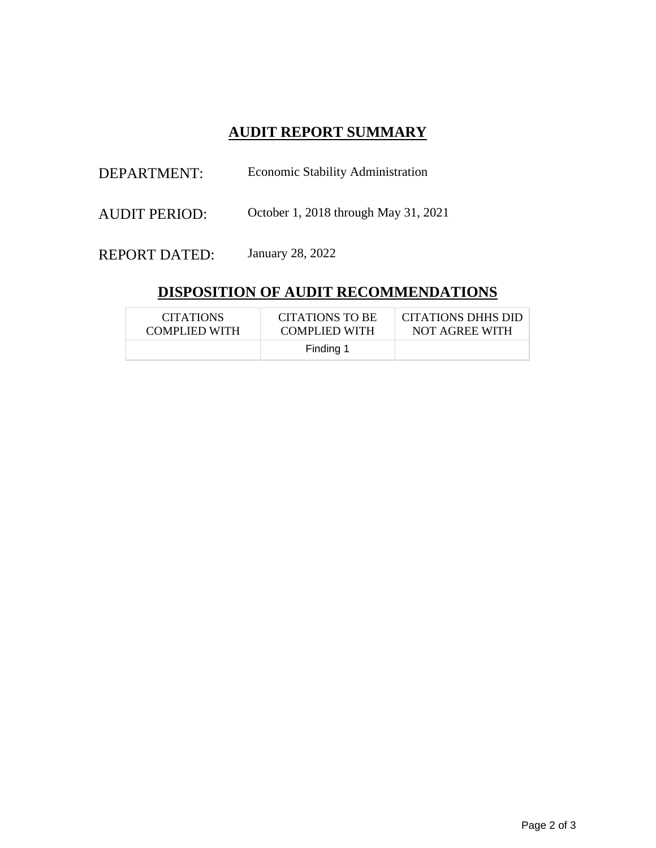# **AUDIT REPORT SUMMARY**

| DEPARTMENT:          | <b>Economic Stability Administration</b> |  |
|----------------------|------------------------------------------|--|
| <b>AUDIT PERIOD:</b> | October 1, 2018 through May 31, 2021     |  |
| <b>REPORT DATED:</b> | January 28, 2022                         |  |

# **DISPOSITION OF AUDIT RECOMMENDATIONS**

| <b>CITATIONS</b> | CITATIONS TO BE      | CITATIONS DHHS DID |
|------------------|----------------------|--------------------|
| COMPLIED WITH    | <b>COMPLIED WITH</b> | NOT AGREE WITH     |
|                  | Finding 1            |                    |